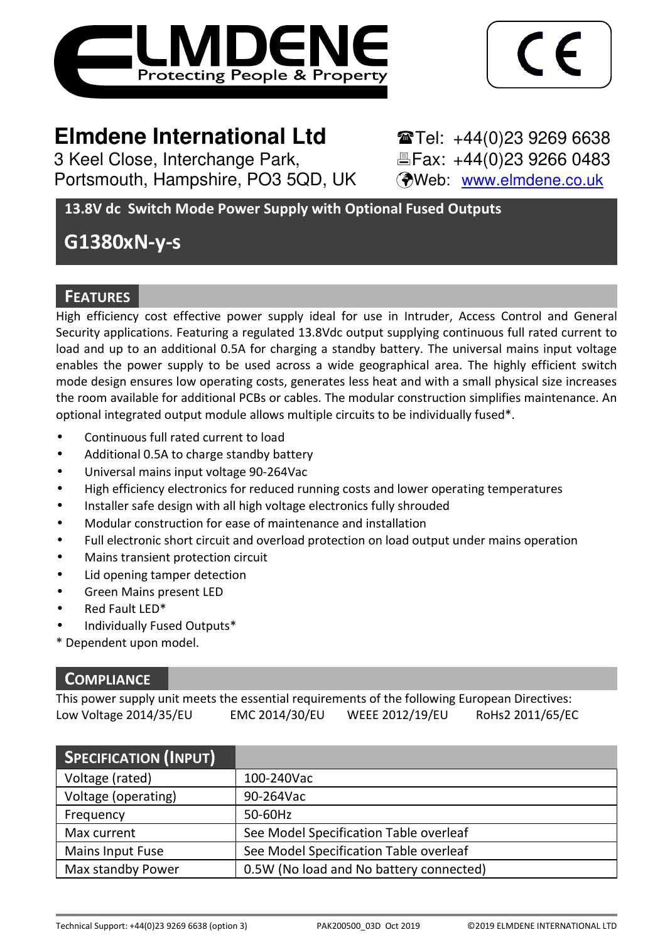



# **Elmdene International Ltd** Tel: +44(0)23 9269 6638

3 Keel Close, Interchange Park, Fax: +44(0)23 9266 0483 Portsmouth, Hampshire, PO3 5QD, UK (Web: www.elmdene.co.uk)

**13.8V dc Switch Mode Power Supply with Optional Fused Outputs** 

# **G1380xN-y-s**

# **FEATURES**

High efficiency cost effective power supply ideal for use in Intruder, Access Control and General Security applications. Featuring a regulated 13.8Vdc output supplying continuous full rated current to load and up to an additional 0.5A for charging a standby battery. The universal mains input voltage enables the power supply to be used across a wide geographical area. The highly efficient switch mode design ensures low operating costs, generates less heat and with a small physical size increases the room available for additional PCBs or cables. The modular construction simplifies maintenance. An optional integrated output module allows multiple circuits to be individually fused\*.

- Continuous full rated current to load
- Additional 0.5A to charge standby battery
- Universal mains input voltage 90-264Vac
- High efficiency electronics for reduced running costs and lower operating temperatures
- Installer safe design with all high voltage electronics fully shrouded
- Modular construction for ease of maintenance and installation
- Full electronic short circuit and overload protection on load output under mains operation
- Mains transient protection circuit
- Lid opening tamper detection
- Green Mains present LED
- Red Fault LED\*
- Individually Fused Outputs\*
- \* Dependent upon model.

## **COMPLIANCE**

This power supply unit meets the essential requirements of the following European Directives: Low Voltage 2014/35/EU EMC 2014/30/EU WEEE 2012/19/EU RoHs2 2011/65/EC

| <b>SPECIFICATION (INPUT)</b> |                                         |
|------------------------------|-----------------------------------------|
| Voltage (rated)              | 100-240Vac                              |
| Voltage (operating)          | 90-264Vac                               |
| Frequency                    | 50-60Hz                                 |
| Max current                  | See Model Specification Table overleaf  |
| <b>Mains Input Fuse</b>      | See Model Specification Table overleaf  |
| Max standby Power            | 0.5W (No load and No battery connected) |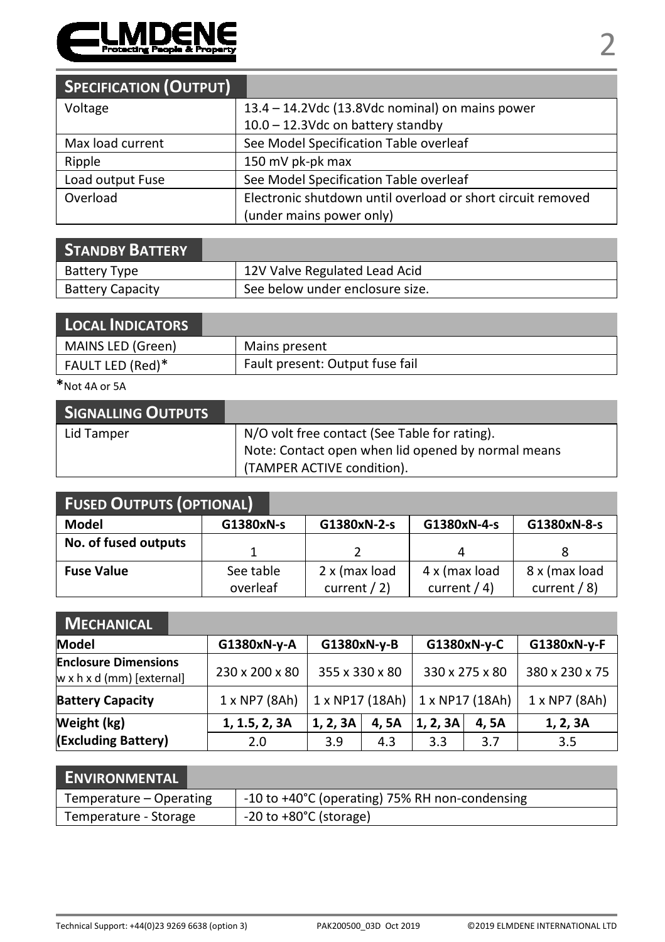

| <b>SPECIFICATION (OUTPUT)</b> |                                                             |
|-------------------------------|-------------------------------------------------------------|
| Voltage                       | 13.4 - 14.2Vdc (13.8Vdc nominal) on mains power             |
|                               | 10.0 - 12.3Vdc on battery standby                           |
| Max load current              | See Model Specification Table overleaf                      |
| Ripple                        | 150 mV pk-pk max                                            |
| Load output Fuse              | See Model Specification Table overleaf                      |
| Overload                      | Electronic shutdown until overload or short circuit removed |
|                               | (under mains power only)                                    |

| <b>STANDBY BATTERY</b>  |                                 |
|-------------------------|---------------------------------|
| Battery Type            | 12V Valve Regulated Lead Acid   |
| <b>Battery Capacity</b> | See below under enclosure size. |

| <b>LOCAL INDICATORS</b> |                                 |
|-------------------------|---------------------------------|
| MAINS LED (Green)       | Mains present                   |
| FAULT LED (Red)*        | Fault present: Output fuse fail |

**\***Not 4A or 5A

| <b>SIGNALLING OUTPUTS</b> |                                                    |
|---------------------------|----------------------------------------------------|
| Lid Tamper                | N/O volt free contact (See Table for rating).      |
|                           | Note: Contact open when lid opened by normal means |
|                           | (TAMPER ACTIVE condition).                         |

| <b>FUSED OUTPUTS (OPTIONAL)</b> |           |                 |               |                 |  |  |
|---------------------------------|-----------|-----------------|---------------|-----------------|--|--|
| Model                           | G1380xN-s | G1380xN-2-s     | G1380xN-4-s   | G1380xN-8-s     |  |  |
| No. of fused outputs            |           |                 |               |                 |  |  |
| <b>Fuse Value</b>               | See table | 2 x (max load   | 4 x (max load | 8 x (max load   |  |  |
|                                 | overleaf  | current $/ 2$ ) | current $(4)$ | current $/ 8$ ) |  |  |

| <b>MECHANICAL</b>                                        |                      |                |      |                                   |             |                |
|----------------------------------------------------------|----------------------|----------------|------|-----------------------------------|-------------|----------------|
| Model                                                    | G1380xN-y-A          | G1380xN-y-B    |      |                                   | G1380xN-y-C | G1380xN-y-F    |
| <b>Enclosure Dimensions</b><br>w x h x d (mm) [external] | 230 x 200 x 80       | 355 x 330 x 80 |      | 330 x 275 x 80                    |             | 380 x 230 x 75 |
| <b>Battery Capacity</b>                                  | $1 \times NP7 (8Ah)$ |                |      | 1 x NP17 (18Ah)   1 x NP17 (18Ah) |             | 1 x NP7 (8Ah)  |
| Weight (kg)                                              | 1, 1.5, 2, 3A        | 1, 2, 3A       | 4,5A | 1, 2, 3A                          | 4.5A        | 1, 2, 3A       |
| (Excluding Battery)                                      | 2.0                  | 3.9            | 4.3  | 3.3                               | 3.7         | 3.5            |

| <b>ENVIRONMENTAL</b>    |                                                |
|-------------------------|------------------------------------------------|
| Temperature – Operating | -10 to +40°C (operating) 75% RH non-condensing |
| Temperature - Storage   | $-20$ to $+80^{\circ}$ C (storage)             |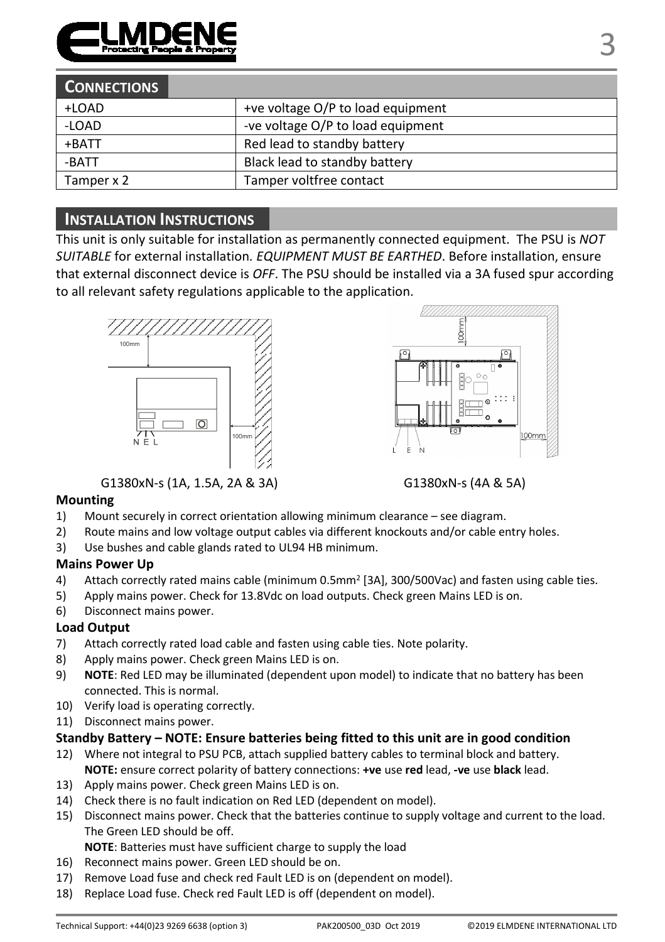

| <b>CONNECTIONS</b> |                                   |
|--------------------|-----------------------------------|
| +LOAD              | +ve voltage O/P to load equipment |
| -LOAD              | -ve voltage O/P to load equipment |
| +BATT              | Red lead to standby battery       |
| -BATT              | Black lead to standby battery     |
| Tamper x 2         | Tamper voltfree contact           |

## **INSTALLATION INSTRUCTIONS**

This unit is only suitable for installation as permanently connected equipment. The PSU is *NOT SUITABLE* for external installation*. EQUIPMENT MUST BE EARTHED*. Before installation, ensure that external disconnect device is *OFF*. The PSU should be installed via a 3A fused spur according to all relevant safety regulations applicable to the application.







#### **Mounting**

- 1) Mount securely in correct orientation allowing minimum clearance see diagram.
- 2) Route mains and low voltage output cables via different knockouts and/or cable entry holes.
- 3) Use bushes and cable glands rated to UL94 HB minimum.

#### **Mains Power Up**

- 4) Attach correctly rated mains cable (minimum 0.5mm<sup>2</sup> [3A], 300/500Vac) and fasten using cable ties.
- 5) Apply mains power. Check for 13.8Vdc on load outputs. Check green Mains LED is on.
- 6) Disconnect mains power.

### **Load Output**

- 7) Attach correctly rated load cable and fasten using cable ties. Note polarity.
- 8) Apply mains power. Check green Mains LED is on.
- 9) **NOTE**: Red LED may be illuminated (dependent upon model) to indicate that no battery has been connected. This is normal.
- 10) Verify load is operating correctly.
- 11) Disconnect mains power.

#### **Standby Battery – NOTE: Ensure batteries being fitted to this unit are in good condition**

- 12) Where not integral to PSU PCB, attach supplied battery cables to terminal block and battery. **NOTE:** ensure correct polarity of battery connections: **+ve** use **red** lead, **-ve** use **black** lead.
- 13) Apply mains power. Check green Mains LED is on.
- 14) Check there is no fault indication on Red LED (dependent on model).
- 15) Disconnect mains power. Check that the batteries continue to supply voltage and current to the load. The Green LED should be off.

**NOTE**: Batteries must have sufficient charge to supply the load

- 16) Reconnect mains power. Green LED should be on.
- 17) Remove Load fuse and check red Fault LED is on (dependent on model).
- 18) Replace Load fuse. Check red Fault LED is off (dependent on model).